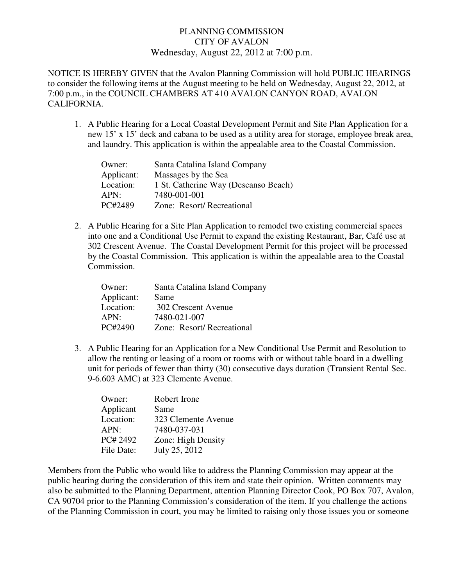## PLANNING COMMISSION CITY OF AVALON Wednesday, August 22, 2012 at 7:00 p.m.

NOTICE IS HEREBY GIVEN that the Avalon Planning Commission will hold PUBLIC HEARINGS to consider the following items at the August meeting to be held on Wednesday, August 22, 2012, at 7:00 p.m., in the COUNCIL CHAMBERS AT 410 AVALON CANYON ROAD, AVALON CALIFORNIA.

1. A Public Hearing for a Local Coastal Development Permit and Site Plan Application for a new 15' x 15' deck and cabana to be used as a utility area for storage, employee break area, and laundry. This application is within the appealable area to the Coastal Commission.

| Owner:     | Santa Catalina Island Company        |
|------------|--------------------------------------|
| Applicant: | Massages by the Sea                  |
| Location:  | 1 St. Catherine Way (Descanso Beach) |
| APN:       | 7480-001-001                         |
| PC#2489    | Zone: Resort/Recreational            |

2. A Public Hearing for a Site Plan Application to remodel two existing commercial spaces into one and a Conditional Use Permit to expand the existing Restaurant, Bar, Café use at 302 Crescent Avenue. The Coastal Development Permit for this project will be processed by the Coastal Commission. This application is within the appealable area to the Coastal Commission.

| Owner:     | Santa Catalina Island Company |
|------------|-------------------------------|
| Applicant: | Same                          |
| Location:  | 302 Crescent Avenue           |
| APN:       | 7480-021-007                  |
| PC#2490    | Zone: Resort/Recreational     |

3. A Public Hearing for an Application for a New Conditional Use Permit and Resolution to allow the renting or leasing of a room or rooms with or without table board in a dwelling unit for periods of fewer than thirty (30) consecutive days duration (Transient Rental Sec. 9-6.603 AMC) at 323 Clemente Avenue.

| Robert Irone        |
|---------------------|
| Same                |
| 323 Clemente Avenue |
| 7480-037-031        |
| Zone: High Density  |
| July 25, 2012       |
|                     |

Members from the Public who would like to address the Planning Commission may appear at the public hearing during the consideration of this item and state their opinion. Written comments may also be submitted to the Planning Department, attention Planning Director Cook, PO Box 707, Avalon, CA 90704 prior to the Planning Commission's consideration of the item. If you challenge the actions of the Planning Commission in court, you may be limited to raising only those issues you or someone